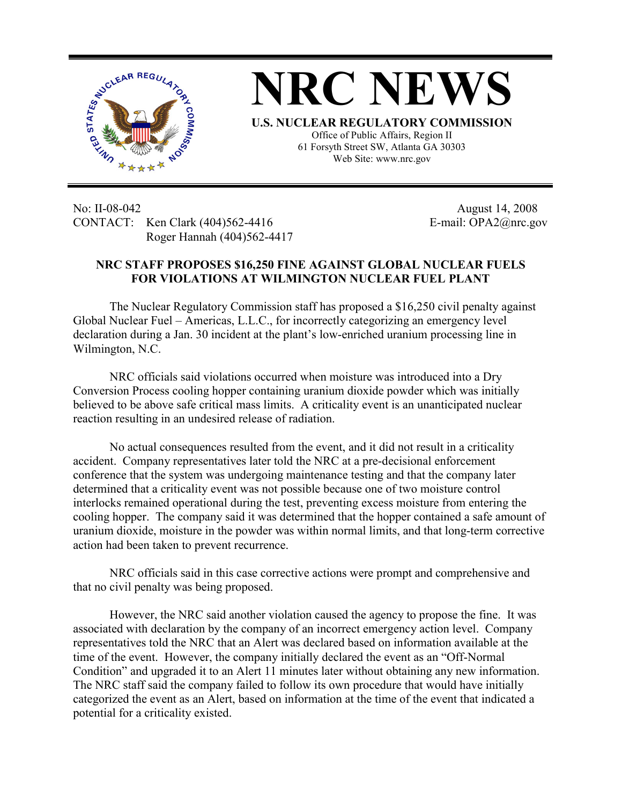

## **NRC NEWS U.S. NUCLEAR REGULATORY COMMISSION**

Office of Public Affairs, Region II 61 Forsyth Street SW, Atlanta GA 30303 Web Site: www.nrc.gov

No: II-08-042 August 14, 2008 CONTACT: Ken Clark (404)562-4416 E-mail: OPA2@nrc.gov Roger Hannah (404)562-4417

## **NRC STAFF PROPOSES \$16,250 FINE AGAINST GLOBAL NUCLEAR FUELS FOR VIOLATIONS AT WILMINGTON NUCLEAR FUEL PLANT**

The Nuclear Regulatory Commission staff has proposed a \$16,250 civil penalty against Global Nuclear Fuel – Americas, L.L.C., for incorrectly categorizing an emergency level declaration during a Jan. 30 incident at the plant's low-enriched uranium processing line in Wilmington, N.C.

 NRC officials said violations occurred when moisture was introduced into a Dry Conversion Process cooling hopper containing uranium dioxide powder which was initially believed to be above safe critical mass limits. A criticality event is an unanticipated nuclear reaction resulting in an undesired release of radiation.

 No actual consequences resulted from the event, and it did not result in a criticality accident. Company representatives later told the NRC at a pre-decisional enforcement conference that the system was undergoing maintenance testing and that the company later determined that a criticality event was not possible because one of two moisture control interlocks remained operational during the test, preventing excess moisture from entering the cooling hopper. The company said it was determined that the hopper contained a safe amount of uranium dioxide, moisture in the powder was within normal limits, and that long-term corrective action had been taken to prevent recurrence.

 NRC officials said in this case corrective actions were prompt and comprehensive and that no civil penalty was being proposed.

 However, the NRC said another violation caused the agency to propose the fine. It was associated with declaration by the company of an incorrect emergency action level. Company representatives told the NRC that an Alert was declared based on information available at the time of the event. However, the company initially declared the event as an "Off-Normal Condition" and upgraded it to an Alert 11 minutes later without obtaining any new information. The NRC staff said the company failed to follow its own procedure that would have initially categorized the event as an Alert, based on information at the time of the event that indicated a potential for a criticality existed.